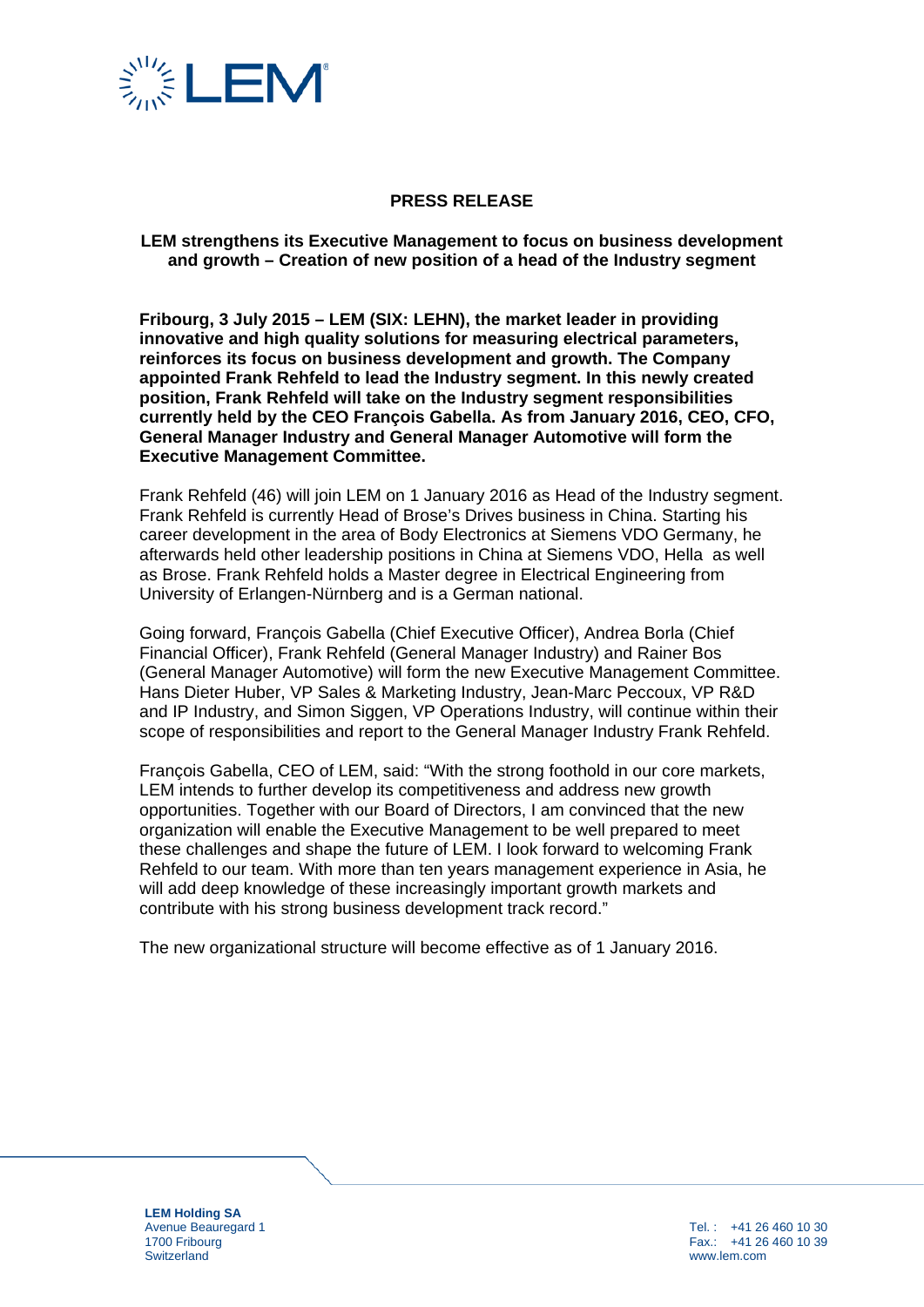

## **PRESS RELEASE**

### **LEM strengthens its Executive Management to focus on business development and growth – Creation of new position of a head of the Industry segment**

**Fribourg, 3 July 2015 – LEM (SIX: LEHN), the market leader in providing innovative and high quality solutions for measuring electrical parameters, reinforces its focus on business development and growth. The Company appointed Frank Rehfeld to lead the Industry segment. In this newly created position, Frank Rehfeld will take on the Industry segment responsibilities currently held by the CEO François Gabella. As from January 2016, CEO, CFO, General Manager Industry and General Manager Automotive will form the Executive Management Committee.** 

Frank Rehfeld (46) will join LEM on 1 January 2016 as Head of the Industry segment. Frank Rehfeld is currently Head of Brose's Drives business in China. Starting his career development in the area of Body Electronics at Siemens VDO Germany, he afterwards held other leadership positions in China at Siemens VDO, Hella as well as Brose. Frank Rehfeld holds a Master degree in Electrical Engineering from University of Erlangen-Nürnberg and is a German national.

Going forward, François Gabella (Chief Executive Officer), Andrea Borla (Chief Financial Officer), Frank Rehfeld (General Manager Industry) and Rainer Bos (General Manager Automotive) will form the new Executive Management Committee. Hans Dieter Huber, VP Sales & Marketing Industry, Jean-Marc Peccoux, VP R&D and IP Industry, and Simon Siggen, VP Operations Industry, will continue within their scope of responsibilities and report to the General Manager Industry Frank Rehfeld.

François Gabella, CEO of LEM, said: "With the strong foothold in our core markets, LEM intends to further develop its competitiveness and address new growth opportunities. Together with our Board of Directors, I am convinced that the new organization will enable the Executive Management to be well prepared to meet these challenges and shape the future of LEM. I look forward to welcoming Frank Rehfeld to our team. With more than ten years management experience in Asia, he will add deep knowledge of these increasingly important growth markets and contribute with his strong business development track record."

The new organizational structure will become effective as of 1 January 2016.

**LEM Holding SA** Avenue Beauregard 1 1700 Fribourg **Switzerland** 

Tel. : +41 26 460 10 30 Fax.: +41 26 460 10 39 www.lem.com